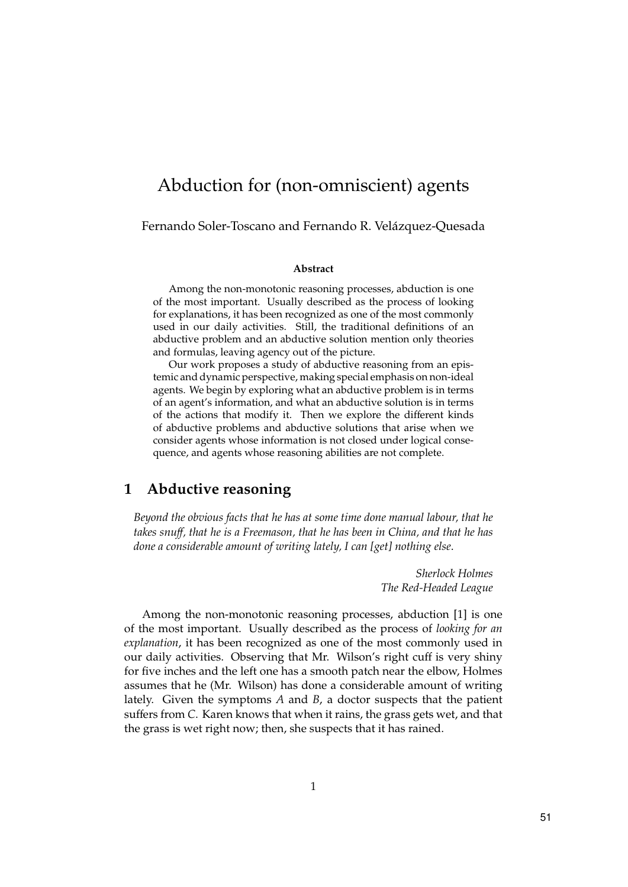# Abduction for (non-omniscient) agents

Fernando Soler-Toscano and Fernando R. Velázquez-Quesada

#### Abstract

Among the non-monotonic reasoning processes, abduction is one of the most important. Usually described as the process of looking for explanations, it has been recognized as one of the most commonly used in our daily activities. Still, the traditional definitions of an abductive problem and an abductive solution mention only theories and formulas, leaving agency out of the picture.

Our work proposes a study of abductive reasoning from an epistemic and dynamic perspective, making special emphasis on non-ideal agents. We begin by exploring what an abductive problem is in terms of an agent's information, and what an abductive solution is in terms of the actions that modify it. Then we explore the different kinds of abductive problems and abductive solutions that arise when we consider agents whose information is not closed under logical consequence, and agents whose reasoning abilities are not complete.

# 1 Abductive reasoning

Beyond the obvious facts that he has at some time done manual labour, that he takes snuff, that he is a Freemason, that he has been in China, and that he has done a considerable amount of writing lately, I can [get] nothing else.

> Sherlock Holmes The Red-Headed League

Among the non-monotonic reasoning processes, abduction [1] is one of the most important. Usually described as the process of looking for an explanation, it has been recognized as one of the most commonly used in our daily activities. Observing that Mr. Wilson's right cuff is very shiny for five inches and the left one has a smooth patch near the elbow, Holmes assumes that he (Mr. Wilson) has done a considerable amount of writing lately. Given the symptoms A and B, a doctor suspects that the patient suffers from C. Karen knows that when it rains, the grass gets wet, and that the grass is wet right now; then, she suspects that it has rained.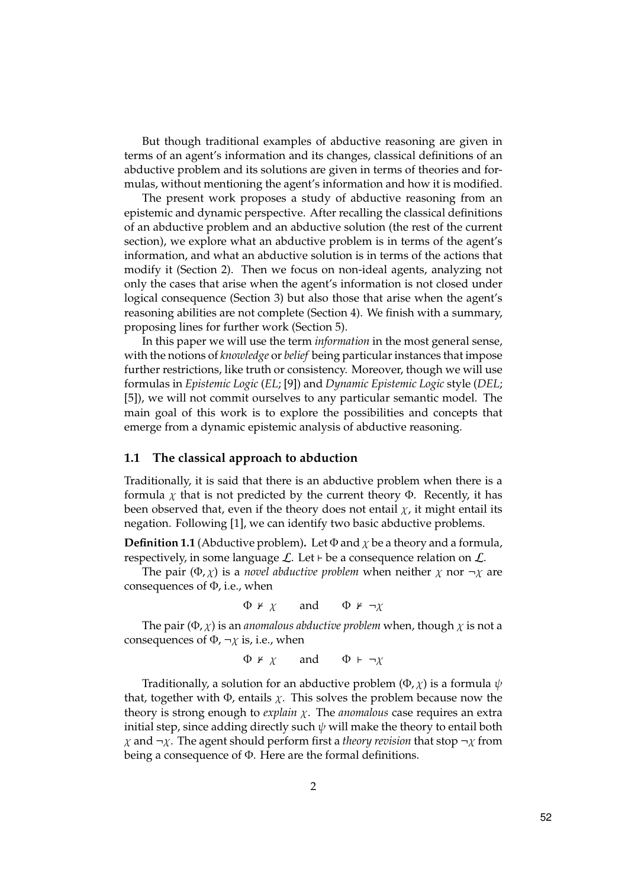But though traditional examples of abductive reasoning are given in terms of an agent's information and its changes, classical definitions of an abductive problem and its solutions are given in terms of theories and formulas, without mentioning the agent's information and how it is modified.

The present work proposes a study of abductive reasoning from an epistemic and dynamic perspective. After recalling the classical definitions of an abductive problem and an abductive solution (the rest of the current section), we explore what an abductive problem is in terms of the agent's information, and what an abductive solution is in terms of the actions that modify it (Section 2). Then we focus on non-ideal agents, analyzing not only the cases that arise when the agent's information is not closed under logical consequence (Section 3) but also those that arise when the agent's reasoning abilities are not complete (Section 4). We finish with a summary, proposing lines for further work (Section 5).

In this paper we will use the term information in the most general sense, with the notions of knowledge or belief being particular instances that impose further restrictions, like truth or consistency. Moreover, though we will use formulas in Epistemic Logic (EL; [9]) and Dynamic Epistemic Logic style (DEL; [5]), we will not commit ourselves to any particular semantic model. The main goal of this work is to explore the possibilities and concepts that emerge from a dynamic epistemic analysis of abductive reasoning.

### 1.1 The classical approach to abduction

Traditionally, it is said that there is an abductive problem when there is a formula  $\chi$  that is not predicted by the current theory  $\Phi$ . Recently, it has been observed that, even if the theory does not entail  $\chi$ , it might entail its negation. Following [1], we can identify two basic abductive problems.

**Definition 1.1** (Abductive problem). Let  $\Phi$  and  $\chi$  be a theory and a formula, respectively, in some language  $\mathcal{L}$ . Let  $\vdash$  be a consequence relation on  $\mathcal{L}$ .

The pair ( $\Phi$ ,  $\chi$ ) is a *novel abductive problem* when neither  $\chi$  nor  $\neg \chi$  are consequences of  $\Phi$ , i.e., when

$$
\Phi \nvdash \chi
$$
 and  $\Phi \nvdash \neg \chi$ 

The pair ( $\Phi$ ,  $\chi$ ) is an *anomalous abductive problem* when, though  $\chi$  is not a consequences of  $\Phi$ ,  $\neg \chi$  is, i.e., when

$$
\Phi \nvdash \chi
$$
 and  $\Phi \vdash \neg \chi$ 

Traditionally, a solution for an abductive problem  $(\Phi, \chi)$  is a formula  $\psi$ that, together with  $\Phi$ , entails  $\chi$ . This solves the problem because now the theory is strong enough to *explain*  $\chi$ . The *anomalous* case requires an extra initial step, since adding directly such  $\psi$  will make the theory to entail both  $χ$  and  $\neg$ χ. The agent should perform first a theory revision that stop  $\neg$ χ from being a consequence of Φ. Here are the formal definitions.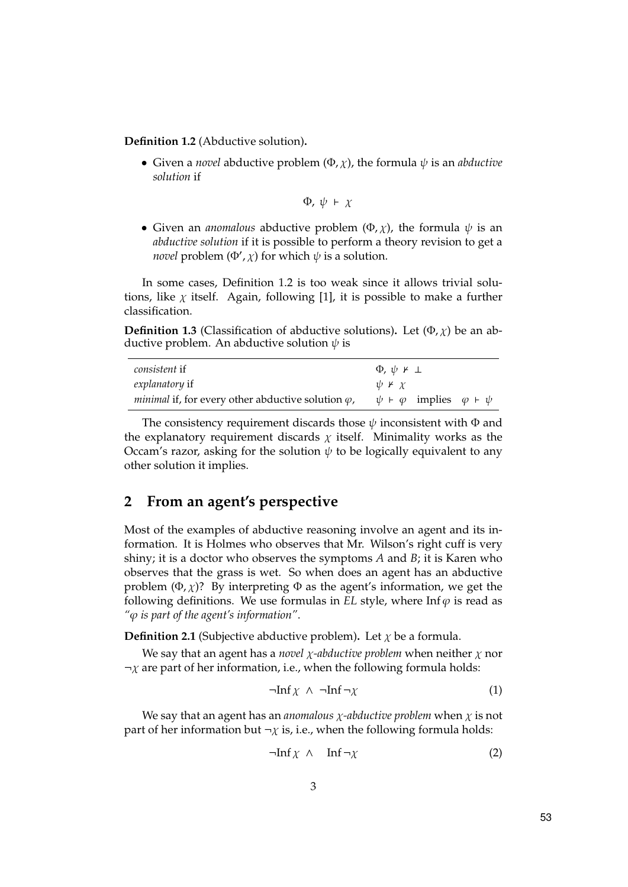Definition 1.2 (Abductive solution).

• Given a *novel* abductive problem  $(\Phi, \chi)$ , the formula  $\psi$  is an *abductive* solution if

$$
\Phi,\,\psi\ \vdash\ \chi
$$

• Given an *anomalous* abductive problem  $(\Phi, \chi)$ , the formula  $\psi$  is an abductive solution if it is possible to perform a theory revision to get a *novel* problem ( $\Phi', \chi$ ) for which  $\psi$  is a solution.

In some cases, Definition 1.2 is too weak since it allows trivial solutions, like  $\chi$  itself. Again, following [1], it is possible to make a further classification.

**Definition 1.3** (Classification of abductive solutions). Let  $(\Phi, \chi)$  be an abductive problem. An abductive solution  $\psi$  is

| <i>consistent</i> if                                              | $\Phi$ , $\psi$ $\kappa$ $\perp$                    |
|-------------------------------------------------------------------|-----------------------------------------------------|
| explanatory if                                                    | $\psi \nvdash \chi$                                 |
| <i>minimal</i> if, for every other abductive solution $\varphi$ , | $\psi \vdash \varphi$ implies $\varphi \vdash \psi$ |

The consistency requirement discards those  $\psi$  inconsistent with  $\Phi$  and the explanatory requirement discards  $\chi$  itself. Minimality works as the Occam's razor, asking for the solution  $\psi$  to be logically equivalent to any other solution it implies.

# 2 From an agent's perspective

Most of the examples of abductive reasoning involve an agent and its information. It is Holmes who observes that Mr. Wilson's right cuff is very shiny; it is a doctor who observes the symptoms  $A$  and  $B$ ; it is Karen who observes that the grass is wet. So when does an agent has an abductive problem  $(\Phi, \chi)$ ? By interpreting  $\Phi$  as the agent's information, we get the following definitions. We use formulas in EL style, where Inf $\varphi$  is read as " $\varphi$  is part of the agent's information".

**Definition 2.1** (Subjective abductive problem). Let  $\chi$  be a formula.

We say that an agent has a novel  $\chi$ -abductive problem when neither  $\chi$  nor  $\neg \chi$  are part of her information, i.e., when the following formula holds:

$$
\neg \text{Inf } \chi \ \land \ \neg \text{Inf } \neg \chi \tag{1}
$$

We say that an agent has an anomalous  $\chi$ -abductive problem when  $\chi$  is not part of her information but  $\neg \chi$  is, i.e., when the following formula holds:

$$
\neg \text{Inf} \chi \wedge \text{Inf } \neg \chi \tag{2}
$$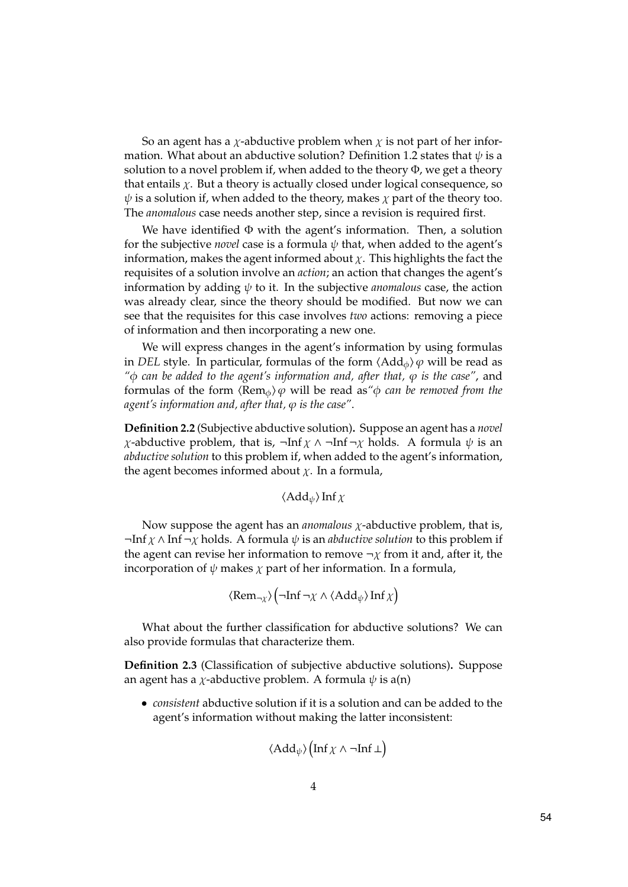So an agent has a  $\chi$ -abductive problem when  $\chi$  is not part of her information. What about an abductive solution? Definition 1.2 states that  $\psi$  is a solution to a novel problem if, when added to the theory  $\Phi$ , we get a theory that entails  $\chi$ . But a theory is actually closed under logical consequence, so  $\psi$  is a solution if, when added to the theory, makes  $\chi$  part of the theory too. The anomalous case needs another step, since a revision is required first.

We have identified  $\Phi$  with the agent's information. Then, a solution for the subjective *novel* case is a formula  $\psi$  that, when added to the agent's information, makes the agent informed about  $\chi$ . This highlights the fact the requisites of a solution involve an action; an action that changes the agent's information by adding  $\psi$  to it. In the subjective *anomalous* case, the action was already clear, since the theory should be modified. But now we can see that the requisites for this case involves two actions: removing a piece of information and then incorporating a new one.

We will express changes in the agent's information by using formulas in DEL style. In particular, formulas of the form  $\langle \text{Add}_\phi \rangle \varphi$  will be read as " $\phi$  can be added to the agent's information and, after that,  $\varphi$  is the case", and formulas of the form  $\langle \text{Rem}_{\phi} \rangle \varphi$  will be read as " $\varphi$  can be removed from the agent's information and, after that,  $\varphi$  is the case".

Definition 2.2 (Subjective abductive solution). Suppose an agent has a novel *χ*-abductive problem, that is, ¬Inf  $χ$  ∧ ¬Inf ¬ $χ$  holds. A formula  $ψ$  is an abductive solution to this problem if, when added to the agent's information, the agent becomes informed about  $\chi$ . In a formula,

$$
\langle \text{Add}_{\psi} \rangle \ln f \chi
$$

Now suppose the agent has an *anomalous*  $\chi$ -abductive problem, that is,  $\neg$ Inf  $\chi \wedge$ Inf $\neg \chi$  holds. A formula  $\psi$  is an *abductive solution* to this problem if the agent can revise her information to remove  $\neg \chi$  from it and, after it, the incorporation of  $\psi$  makes  $\chi$  part of her information. In a formula,

$$
\langle \text{Rem}_{\neg \chi} \rangle \left( \neg \text{Inf } \neg \chi \wedge \langle \text{Add}_{\psi} \rangle \text{ Inf } \chi \right)
$$

What about the further classification for abductive solutions? We can also provide formulas that characterize them.

Definition 2.3 (Classification of subjective abductive solutions). Suppose an agent has a *χ*-abductive problem. A formula  $\psi$  is a(n)

• consistent abductive solution if it is a solution and can be added to the agent's information without making the latter inconsistent:

$$
\langle \mathop{\rm Add}\nolimits_\psi\rangle \bigl(\mathop{\rm Inf}\nolimits \chi \wedge \neg \mathop{\rm Inf}\nolimits \bot\bigr)
$$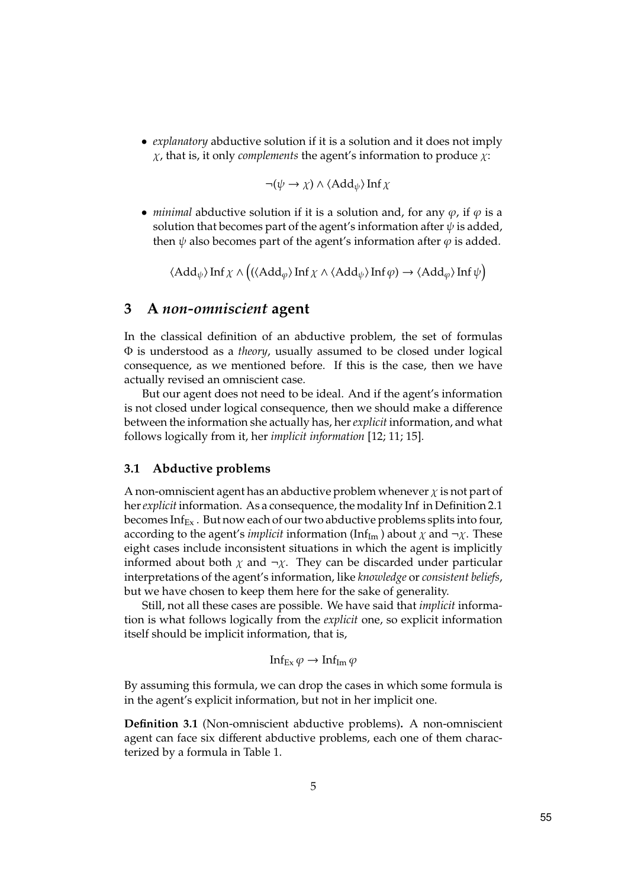• *explanatory* abductive solution if it is a solution and it does not imply  $\chi$ , that is, it only *complements* the agent's information to produce  $\chi$ :

$$
\neg(\psi \to \chi) \land \langle \text{Add}_{\psi} \rangle \text{Inf } \chi
$$

• *minimal* abductive solution if it is a solution and, for any  $\varphi$ , if  $\varphi$  is a solution that becomes part of the agent's information after  $\psi$  is added, then  $\psi$  also becomes part of the agent's information after  $\varphi$  is added.

 $\langle \mathrm{Add}_\psi \rangle \mathrm{Inf} \, \chi \wedge \big( (\langle \mathrm{Add}_\varphi \rangle \mathrm{Inf} \, \chi \wedge \langle \mathrm{Add}_\psi \rangle \mathrm{Inf} \, \varphi) \to \langle \mathrm{Add}_\varphi \rangle \mathrm{Inf} \, \psi \big)$ 

## 3 A non-omniscient agent

In the classical definition of an abductive problem, the set of formulas Φ is understood as a theory, usually assumed to be closed under logical consequence, as we mentioned before. If this is the case, then we have actually revised an omniscient case.

But our agent does not need to be ideal. And if the agent's information is not closed under logical consequence, then we should make a difference between the information she actually has, her *explicit* information, and what follows logically from it, her implicit information [12; 11; 15].

### 3.1 Abductive problems

A non-omniscient agent has an abductive problem whenever  $\chi$  is not part of her explicit information. As a consequence, the modality Inf in Definition 2.1 becomes  $Inf_{Ex}$ . But now each of our two abductive problems splits into four, according to the agent's *implicit* information (Inf<sub>Im</sub>) about  $\chi$  and  $\neg \chi$ . These eight cases include inconsistent situations in which the agent is implicitly informed about both  $\chi$  and  $\neg \chi$ . They can be discarded under particular interpretations of the agent's information, like knowledge or consistent beliefs, but we have chosen to keep them here for the sake of generality.

Still, not all these cases are possible. We have said that implicit information is what follows logically from the explicit one, so explicit information itself should be implicit information, that is,

Inf<sub>Ex</sub>  $\varphi \to \text{Inf}_{\text{Im}} \varphi$ 

By assuming this formula, we can drop the cases in which some formula is in the agent's explicit information, but not in her implicit one.

Definition 3.1 (Non-omniscient abductive problems). A non-omniscient agent can face six different abductive problems, each one of them characterized by a formula in Table 1.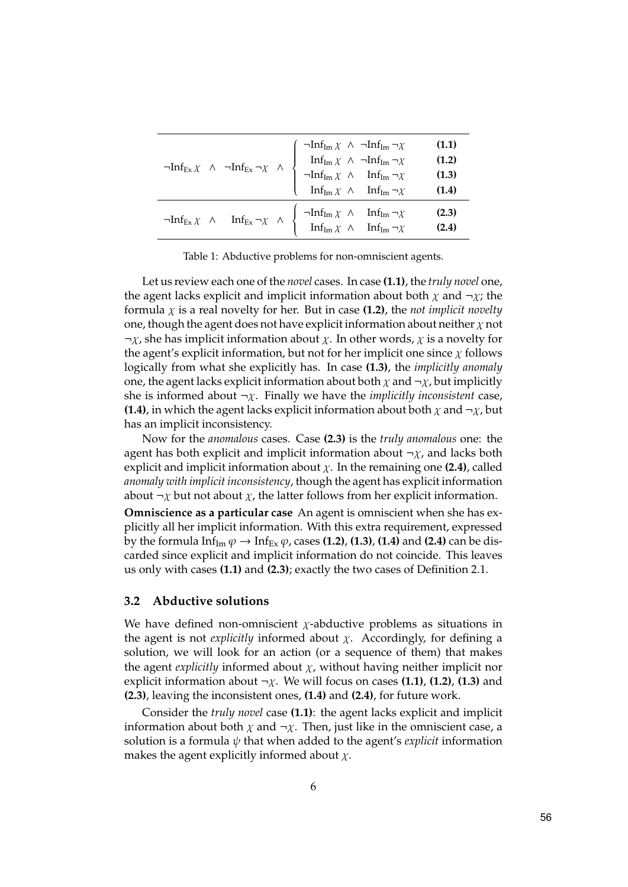| $\lnot Inf_{Ex\, \chi}\ \wedge\ \lnot Inf_{Ex} \lnot \chi\ \wedge\ \begin{cases} \lnot Inf_{Im\, \chi}\ \wedge\ \lnot Inf_{Im\, \gamma \chi} \\ \quad \text{Inf}_{Im\, \chi}\ \wedge\ \lnot Inf_{Im\, \gamma \chi} \\ \lnot Inf_{Im\, \chi}\ \wedge\ \quad \text{Inf}_{Im\, \gamma \chi} \\ \quad \text{Inf}_{Im\, \chi}\ \wedge\ \quad \text{Inf}_{Im\, \gamma \chi} \end{cases}$ | (1.1)<br>(1.2)<br>(1.3)<br>(1.4) |
|------------------------------------------------------------------------------------------------------------------------------------------------------------------------------------------------------------------------------------------------------------------------------------------------------------------------------------------------------------------------------------|----------------------------------|
| $\lnot Inf_{Ex\, \chi} \ \land \quad Inf_{Ex} \lnot \chi \ \land \ \left\{ \begin{array}{rcl} \lnot Inf_{Im\, \chi} \ \land & Inf_{Im} \lnot \chi \\ Inf_{Im\, \chi} \ \land & Inf_{Im} \lnot \chi \end{array} \right.$                                                                                                                                                            | (2.3)<br>(2.4)                   |

Table 1: Abductive problems for non-omniscient agents.

Let us review each one of the novel cases. In case (1.1), the truly novel one, the agent lacks explicit and implicit information about both  $\chi$  and  $\neg \chi$ ; the formula  $\chi$  is a real novelty for her. But in case (1.2), the not implicit novelty one, though the agent does not have explicit information about neither  $\chi$  not  $\neg \chi$ , she has implicit information about  $\chi$ . In other words,  $\chi$  is a novelty for the agent's explicit information, but not for her implicit one since  $\chi$  follows logically from what she explicitly has. In case (1.3), the *implicitly anomaly* one, the agent lacks explicit information about both  $\chi$  and  $\neg \chi$ , but implicitly she is informed about  $\neg \chi$ . Finally we have the *implicitly inconsistent* case, (1.4), in which the agent lacks explicit information about both  $\chi$  and  $\neg \chi$ , but has an implicit inconsistency.

Now for the anomalous cases. Case (2.3) is the truly anomalous one: the agent has both explicit and implicit information about  $\neg \chi$ , and lacks both explicit and implicit information about  $\chi$ . In the remaining one (2.4), called anomaly with implicit inconsistency, though the agent has explicit information about  $\neg \chi$  but not about  $\chi$ , the latter follows from her explicit information.

Omniscience as a particular case An agent is omniscient when she has explicitly all her implicit information. With this extra requirement, expressed by the formula  $Inf_{Im} \varphi \rightarrow Inf_{Ex} \varphi$ , cases (1.2), (1.3), (1.4) and (2.4) can be discarded since explicit and implicit information do not coincide. This leaves us only with cases (1.1) and (2.3); exactly the two cases of Definition 2.1.

## 3.2 Abductive solutions

We have defined non-omniscient  $\chi$ -abductive problems as situations in the agent is not *explicitly* informed about  $\chi$ . Accordingly, for defining a solution, we will look for an action (or a sequence of them) that makes the agent *explicitly* informed about  $\chi$ , without having neither implicit nor explicit information about  $\neg \chi$ . We will focus on cases (1.1), (1.2), (1.3) and (2.3), leaving the inconsistent ones, (1.4) and (2.4), for future work.

Consider the truly novel case (1.1): the agent lacks explicit and implicit information about both  $\chi$  and  $\neg \chi$ . Then, just like in the omniscient case, a solution is a formula  $\psi$  that when added to the agent's *explicit* information makes the agent explicitly informed about  $\chi$ .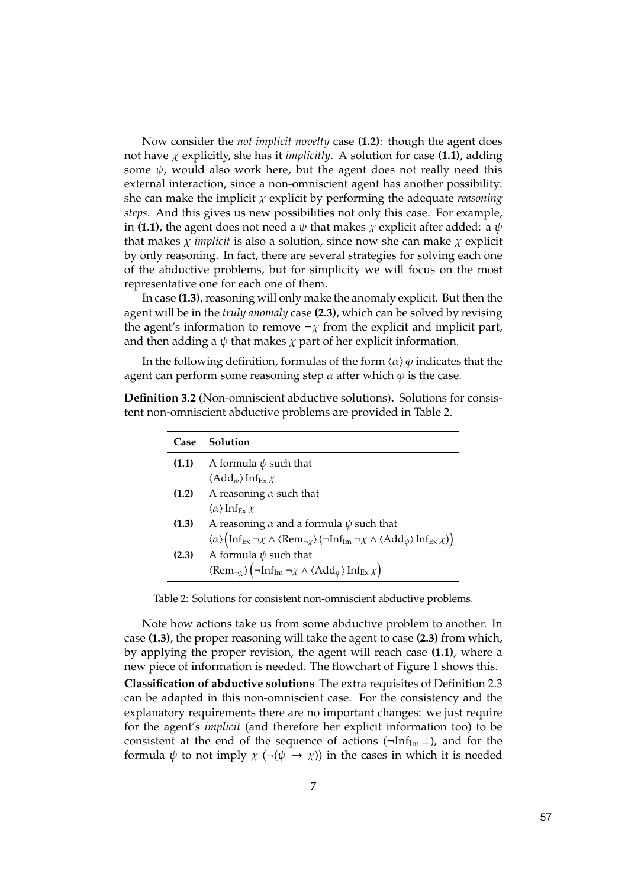Now consider the not implicit novelty case (1.2): though the agent does not have  $\chi$  explicitly, she has it *implicitly*. A solution for case (1.1), adding some  $\psi$ , would also work here, but the agent does not really need this external interaction, since a non-omniscient agent has another possibility: she can make the implicit  $\chi$  explicit by performing the adequate *reasoning* steps. And this gives us new possibilities not only this case. For example, in (1.1), the agent does not need a  $\psi$  that makes  $\chi$  explicit after added: a  $\psi$ that makes  $\chi$  *implicit* is also a solution, since now she can make  $\chi$  explicit by only reasoning. In fact, there are several strategies for solving each one of the abductive problems, but for simplicity we will focus on the most representative one for each one of them.

In case (1.3), reasoning will only make the anomaly explicit. But then the agent will be in the truly anomaly case (2.3), which can be solved by revising the agent's information to remove  $\neg \chi$  from the explicit and implicit part, and then adding a  $\psi$  that makes  $\chi$  part of her explicit information.

In the following definition, formulas of the form  $\langle \alpha \rangle \varphi$  indicates that the agent can perform some reasoning step  $\alpha$  after which  $\varphi$  is the case.

| Case  | Solution                                                                                                                                                                                          |
|-------|---------------------------------------------------------------------------------------------------------------------------------------------------------------------------------------------------|
| (1.1) | A formula $\psi$ such that                                                                                                                                                                        |
|       | $\langle \text{Add}_{\psi} \rangle \text{Inf}_{\text{Ex}} \chi$                                                                                                                                   |
| (1.2) | A reasoning $\alpha$ such that                                                                                                                                                                    |
|       | $\langle \alpha \rangle$ Inf <sub>Fy</sub> $\chi$                                                                                                                                                 |
| (1.3) | A reasoning $\alpha$ and a formula $\psi$ such that                                                                                                                                               |
|       | $\langle \alpha \rangle (\text{Inf}_{Ex} \neg \chi \wedge \langle \text{Rem}_{\neg \chi} \rangle (\neg \text{Inf}_{Im} \neg \chi \wedge \langle \text{Add}_{\psi} \rangle \text{Inf}_{Ex} \chi))$ |
| (2.3) | A formula $\psi$ such that                                                                                                                                                                        |
|       | $\langle \text{Rem}_{\neg \chi} \rangle$ $\big(\neg \text{Inf}_{\text{Im}} \neg \chi \wedge \langle \text{Add}_{\psi} \rangle \text{Inf}_{\text{Ex}} \chi \big)$                                  |

Definition 3.2 (Non-omniscient abductive solutions). Solutions for consistent non-omniscient abductive problems are provided in Table 2.

Table 2: Solutions for consistent non-omniscient abductive problems.

Note how actions take us from some abductive problem to another. In case (1.3), the proper reasoning will take the agent to case (2.3) from which, by applying the proper revision, the agent will reach case (1.1), where a new piece of information is needed. The flowchart of Figure 1 shows this. Classification of abductive solutions The extra requisites of Definition 2.3

can be adapted in this non-omniscient case. For the consistency and the explanatory requirements there are no important changes: we just require for the agent's implicit (and therefore her explicit information too) to be consistent at the end of the sequence of actions  $(\neg \text{Inf}_{\text{Im}} \bot)$ , and for the formula  $\psi$  to not imply  $\chi$  ( $\neg(\psi \rightarrow \chi)$ ) in the cases in which it is needed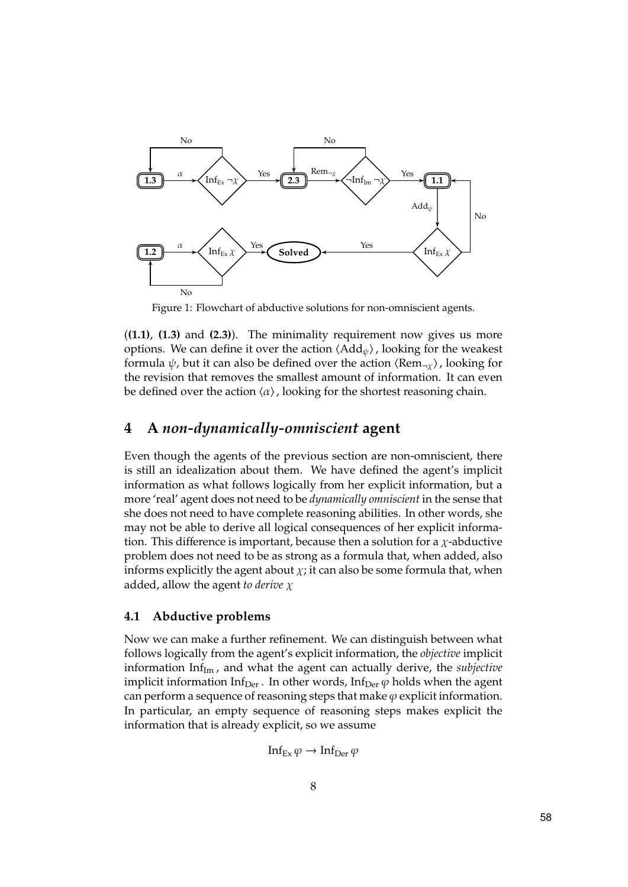

Figure 1: Flowchart of abductive solutions for non-omniscient agents.

 $((1.1), (1.3)$  and  $(2.3)$ ). The minimality requirement now gives us more options. We can define it over the action  $\langle \text{Add}_{\psi} \rangle$ , looking for the weakest formula  $\psi$ , but it can also be defined over the action  $\langle \text{Rem}_{\neg x} \rangle$ , looking for the revision that removes the smallest amount of information. It can even be defined over the action  $\langle \alpha \rangle$ , looking for the shortest reasoning chain.

## 4 A non-dynamically-omniscient agent

Even though the agents of the previous section are non-omniscient, there is still an idealization about them. We have defined the agent's implicit information as what follows logically from her explicit information, but a more 'real' agent does not need to be *dynamically omniscient* in the sense that she does not need to have complete reasoning abilities. In other words, she may not be able to derive all logical consequences of her explicit information. This difference is important, because then a solution for a  $\chi$ -abductive problem does not need to be as strong as a formula that, when added, also informs explicitly the agent about  $\chi$ ; it can also be some formula that, when added, allow the agent to derive  $\chi$ 

#### 4.1 Abductive problems

Now we can make a further refinement. We can distinguish between what follows logically from the agent's explicit information, the objective implicit information Inf $_{Im}$ , and what the agent can actually derive, the subjective implicit information Inf<sub>Der</sub>. In other words, Inf<sub>Der</sub>  $\varphi$  holds when the agent can perform a sequence of reasoning steps that make  $\varphi$  explicit information. In particular, an empty sequence of reasoning steps makes explicit the information that is already explicit, so we assume

$$
\text{Inf}_{\text{Ex}}\,\varphi \to \text{Inf}_{\text{Der}}\,\varphi
$$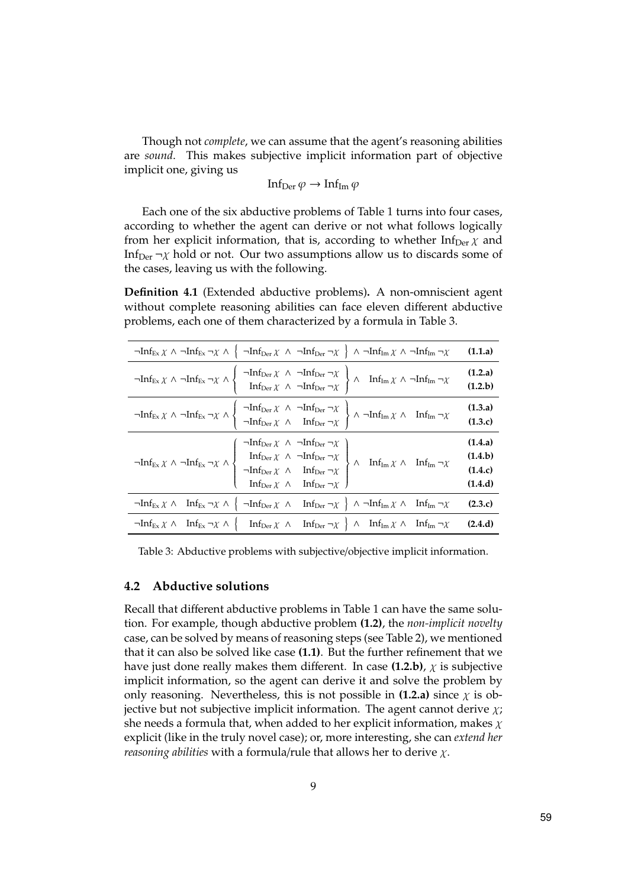Though not complete, we can assume that the agent's reasoning abilities are sound. This makes subjective implicit information part of objective implicit one, giving us

Inf<sub>Der</sub>  $\varphi \to \text{Inf}_{\text{Im}} \varphi$ 

Each one of the six abductive problems of Table 1 turns into four cases, according to whether the agent can derive or not what follows logically from her explicit information, that is, according to whether  $Inf_{Der} \chi$  and Inf<sub>Der</sub>  $\neg \chi$  hold or not. Our two assumptions allow us to discards some of the cases, leaving us with the following.

Definition 4.1 (Extended abductive problems). A non-omniscient agent without complete reasoning abilities can face eleven different abductive problems, each one of them characterized by a formula in Table 3.

| $\neg Inf_{Ex}\chi \wedge \neg Inf_{Ex} \neg \chi \wedge \left\{ \neg Inf_{Der}\chi \wedge \neg Inf_{Der} \neg \chi \right\} \wedge \neg Inf_{Im}\chi \wedge \neg Inf_{Im} \neg \chi$                                                                                                                                                                                                                                                                                                                                                                            | (1.1.a)                                  |
|------------------------------------------------------------------------------------------------------------------------------------------------------------------------------------------------------------------------------------------------------------------------------------------------------------------------------------------------------------------------------------------------------------------------------------------------------------------------------------------------------------------------------------------------------------------|------------------------------------------|
| $\lnot Inf_{Ex\, \chi} \ \land\ \lnot Inf_{Ex} \ \lnot\chi\ \land\ \left\{ \begin{array}{c} \lnot Inf_{\mathop{\rm Der}\nolimits\, \chi} \ \land\ \lnot Inf_{\mathop{\rm Der}\nolimits} \ \lnot\chi \\ \text{Inf}_{\mathop{\rm Der}\nolimits\, \chi} \ \land\ \lnot Inf_{\mathop{\rm Der}\nolimits} \ \lnot\chi \end{array} \right\} \ \land\quad \text{Inf}_{Im\, \chi} \ \land\ \lnot Inf_{Im} \ \lnot\chi$                                                                                                                                                    | (1.2.a)<br>(1.2.b)                       |
| $\lnot Inf_{Ex\, \chi} \ \land\ \lnot Inf_{Ex} \ \lnot \chi \ \land \ \left\{ \begin{array}{rcl} \lnot Inf_{Der\, \chi} & \land & \lnot Inf_{Der} \ \lnot \chi & \land & \lnot Inf_{Der} \ \lnot \chi & \land & Inf_{Der} \ \lnot \chi & \land & \lnot Inf_{Der} \ \lnot \chi & \end{array} \right\} \ \land\ \lnot Inf_{Im\, \chi} \ \land\ \ \lnot Inf_{Im} \ \lnot \chi$                                                                                                                                                                                      | (1.3.a)<br>(1.3.c)                       |
| $\left. \begin{array}{lll} \neg \mathrm{Inf}_{\mathrm{Ex}} \, \chi \, \land \, \neg \mathrm{Inf}_{\mathrm{Ex}} \, \neg \chi \, \land & \left. \begin{array}{l} \neg \mathrm{Inf}_{\mathrm{Der}} \, \chi \, \land \, \neg \mathrm{Inf}_{\mathrm{Der}} \, \neg \chi \\ & \mathrm{Inf}_{\mathrm{Der}} \, \chi \, \land \, \neg \mathrm{Inf}_{\mathrm{Der}} \, \neg \chi \\ & \neg \mathrm{Inf}_{\mathrm{Der}} \, \chi \, \land \, \quad \mathrm{Inf}_{\mathrm{Der}} \, \neg \chi \\ & \mathrm{Inf}_{\mathrm{Der}} \, \chi \, \land \, \quad \mathrm{Inf}_{\mathrm{$ | (1.4.a)<br>(1.4.b)<br>(1.4.c)<br>(1.4.d) |
| $\neg \text{Inf}_{\text{Ex}} \chi \wedge \text{ Inf}_{\text{Ex}} \neg \chi \wedge \left\{ \neg \text{Inf}_{\text{Der}} \chi \wedge \text{ Inf}_{\text{Der}} \neg \chi \right\} \wedge \neg \text{Inf}_{\text{Im}} \chi \wedge \text{ Inf}_{\text{Im}} \neg \chi$                                                                                                                                                                                                                                                                                                 | (2.3.c)                                  |
| $\neg \text{Inf}_{\text{Ex}} \chi \wedge \text{Inf}_{\text{Ex}} \neg \chi \wedge \left\{ \text{Inf}_{\text{Der}} \chi \wedge \text{Inf}_{\text{Der}} \neg \chi \right\} \wedge \text{Inf}_{\text{Im}} \chi \wedge \text{Inf}_{\text{Im}} \neg \chi$ (2.4.d)                                                                                                                                                                                                                                                                                                      |                                          |

Table 3: Abductive problems with subjective/objective implicit information.

#### 4.2 Abductive solutions

Recall that different abductive problems in Table 1 can have the same solution. For example, though abductive problem (1.2), the non-implicit novelty case, can be solved by means of reasoning steps (see Table 2), we mentioned that it can also be solved like case (1.1). But the further refinement that we have just done really makes them different. In case (1.2.b),  $\chi$  is subjective implicit information, so the agent can derive it and solve the problem by only reasoning. Nevertheless, this is not possible in (1.2.a) since  $\chi$  is objective but not subjective implicit information. The agent cannot derive  $\chi$ ; she needs a formula that, when added to her explicit information, makes  $\chi$ explicit (like in the truly novel case); or, more interesting, she can extend her *reasoning abilities* with a formula/rule that allows her to derive  $\chi$ .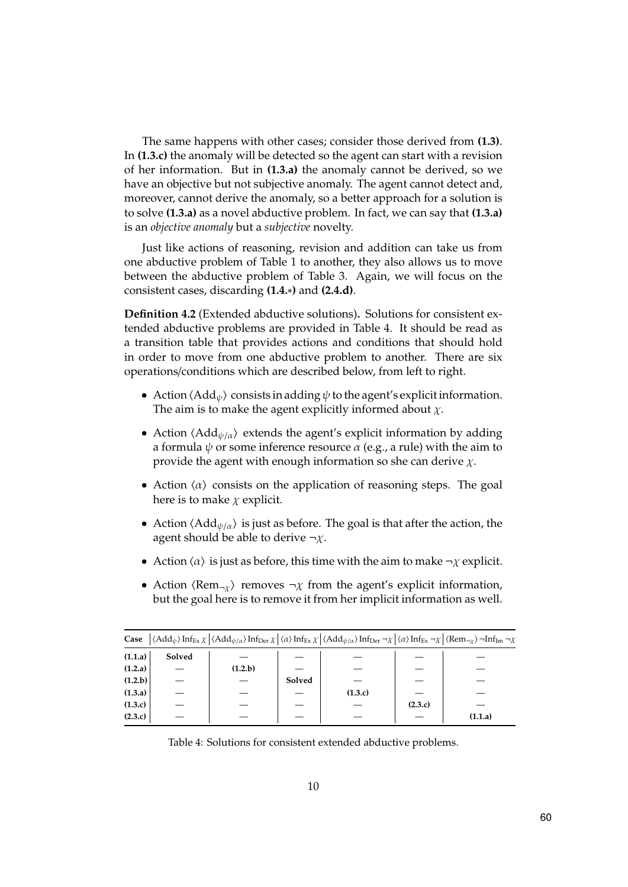The same happens with other cases; consider those derived from (1.3). In (1.3.c) the anomaly will be detected so the agent can start with a revision of her information. But in (1.3.a) the anomaly cannot be derived, so we have an objective but not subjective anomaly. The agent cannot detect and, moreover, cannot derive the anomaly, so a better approach for a solution is to solve (1.3.a) as a novel abductive problem. In fact, we can say that (1.3.a) is an objective anomaly but a subjective novelty.

Just like actions of reasoning, revision and addition can take us from one abductive problem of Table 1 to another, they also allows us to move between the abductive problem of Table 3. Again, we will focus on the consistent cases, discarding (1.4.∗) and (2.4.d).

Definition 4.2 (Extended abductive solutions). Solutions for consistent extended abductive problems are provided in Table 4. It should be read as a transition table that provides actions and conditions that should hold in order to move from one abductive problem to another. There are six operations/conditions which are described below, from left to right.

- Action  $\langle \text{Add}_{\psi} \rangle$  consists in adding  $\psi$  to the agent's explicit information. The aim is to make the agent explicitly informed about  $\chi$ .
- Action  $\langle \text{Add}_{\psi/a} \rangle$  extends the agent's explicit information by adding a formula  $\psi$  or some inference resource  $\alpha$  (e.g., a rule) with the aim to provide the agent with enough information so she can derive  $\chi$ .
- Action  $\langle \alpha \rangle$  consists on the application of reasoning steps. The goal here is to make  $\chi$  explicit.
- Action  $\langle \text{Add}_{\psi/\alpha} \rangle$  is just as before. The goal is that after the action, the agent should be able to derive  $\neg \chi$ .
- Action  $\langle \alpha \rangle$  is just as before, this time with the aim to make  $\neg \chi$  explicit.
- Action  $\langle \text{Rem}_{\neg \chi} \rangle$  removes  $\neg \chi$  from the agent's explicit information, but the goal here is to remove it from her implicit information as well.

| <b>Case</b> $\left  \langle \text{Add}_{\psi} \rangle \text{Inf}_{\text{Ex}} \chi \right  \langle \text{Add}_{\psi/\alpha} \rangle \text{Inf}_{\text{Der}} \chi \left  \langle \alpha \rangle \text{Inf}_{\text{Ex}} \chi \right  \langle \text{Add}_{\psi/\alpha} \rangle \text{Inf}_{\text{Der}} \neg \chi \left  \langle \alpha \rangle \text{Inf}_{\text{Ex}} \neg \chi \right  \langle \text{Rem}_{\gamma} \rangle \neg \text{Inf}_{\text{Im}} \neg \chi$ |        |         |        |         |         |         |
|----------------------------------------------------------------------------------------------------------------------------------------------------------------------------------------------------------------------------------------------------------------------------------------------------------------------------------------------------------------------------------------------------------------------------------------------------------------|--------|---------|--------|---------|---------|---------|
| (1.1.a)                                                                                                                                                                                                                                                                                                                                                                                                                                                        | Solved |         |        |         |         |         |
| (1.2.a)                                                                                                                                                                                                                                                                                                                                                                                                                                                        |        | (1.2.b) |        |         |         |         |
| (1.2.b)                                                                                                                                                                                                                                                                                                                                                                                                                                                        |        |         | Solved |         |         |         |
| (1.3.a)                                                                                                                                                                                                                                                                                                                                                                                                                                                        |        |         |        | (1.3.c) |         |         |
| (1.3.c)                                                                                                                                                                                                                                                                                                                                                                                                                                                        |        |         |        |         | (2.3.c) |         |
| (2.3.c)                                                                                                                                                                                                                                                                                                                                                                                                                                                        |        |         |        |         |         | (1.1.a) |
|                                                                                                                                                                                                                                                                                                                                                                                                                                                                |        |         |        |         |         |         |

Table 4: Solutions for consistent extended abductive problems.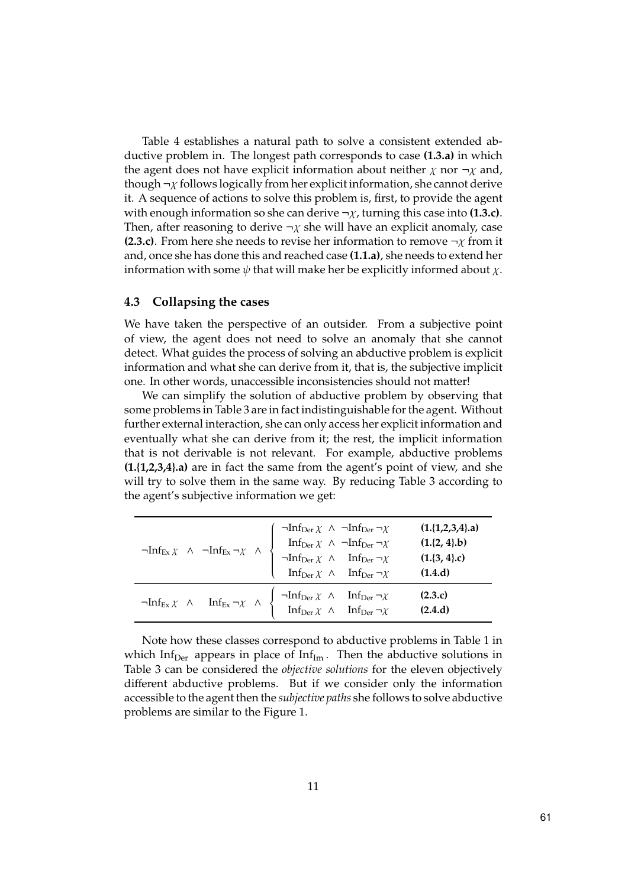Table 4 establishes a natural path to solve a consistent extended abductive problem in. The longest path corresponds to case (1.3.a) in which the agent does not have explicit information about neither  $\chi$  nor  $\neg \chi$  and, though  $\neg \chi$  follows logically from her explicit information, she cannot derive it. A sequence of actions to solve this problem is, first, to provide the agent with enough information so she can derive  $\neg \chi$ , turning this case into (1.3.c). Then, after reasoning to derive  $\neg \chi$  she will have an explicit anomaly, case (2.3.c). From here she needs to revise her information to remove  $\neg \chi$  from it and, once she has done this and reached case (1.1.a), she needs to extend her information with some  $\psi$  that will make her be explicitly informed about  $\chi$ .

#### 4.3 Collapsing the cases

We have taken the perspective of an outsider. From a subjective point of view, the agent does not need to solve an anomaly that she cannot detect. What guides the process of solving an abductive problem is explicit information and what she can derive from it, that is, the subjective implicit one. In other words, unaccessible inconsistencies should not matter!

We can simplify the solution of abductive problem by observing that some problems in Table 3 are in fact indistinguishable for the agent. Without further external interaction, she can only access her explicit information and eventually what she can derive from it; the rest, the implicit information that is not derivable is not relevant. For example, abductive problems (1.{1,2,3,4}.a) are in fact the same from the agent's point of view, and she will try to solve them in the same way. By reducing Table 3 according to the agent's subjective information we get:

| $\lnot Inf_{\operatorname{Ex}\nolimits \chi} \ \land \ \lnot Inf_{\operatorname{Ex}\nolimits \gamma \chi} \ \land \ \begin{cases} \lnot Inf_{\operatorname{Der}\nolimits \chi} \ \land \ \lnot Inf_{\operatorname{Der}\nolimits \gamma \chi} \\ \qquad \qquad \text{Inf}_{\operatorname{Der}\nolimits \chi} \ \land \ \ \lnot Inf_{\operatorname{Der}\nolimits \gamma \chi} \\ \qquad \qquad \text{Inf}_{\operatorname{Der}\nolimits \chi} \ \land \ \ \text{Inf}_{\operatorname{Der}\nolimits \gamma \chi} \\ \qquad \qquad \text{Inf}_{\operatorname{Der}\nolimits \gamma \chi} \ \land \ \ \text{Inf$ | $(1,\{1,2,3,4\}.a)$<br>$(1,\{2, 4\}, b)$<br>$(1.\{3, 4\}.\mathrm{c})$<br>(1.4.d) |
|----------------------------------------------------------------------------------------------------------------------------------------------------------------------------------------------------------------------------------------------------------------------------------------------------------------------------------------------------------------------------------------------------------------------------------------------------------------------------------------------------------------------------------------------------------------------------------------------------------|----------------------------------------------------------------------------------|
| $\neg \text{Inf}_{\text{Ex}} \chi \quad \land \quad \text{Inf}_{\text{Ex}} \neg \chi \quad \land \quad\n \left\{\begin{array}{ccc}\n\neg \text{Inf}_{\text{Der}} \chi & \land & \text{Inf}_{\text{Der}} \neg \chi \\ \text{Inf}_{\text{Der}} \chi & \land & \text{Inf}_{\text{Der}} \neg \chi\n\end{array}\right.$                                                                                                                                                                                                                                                                                       | (2.3.c)<br>(2.4.d)                                                               |

Note how these classes correspond to abductive problems in Table 1 in which Inf<sub>Der</sub> appears in place of Inf<sub>Im</sub>. Then the abductive solutions in Table 3 can be considered the objective solutions for the eleven objectively different abductive problems. But if we consider only the information accessible to the agent then the subjective paths she follows to solve abductive problems are similar to the Figure 1.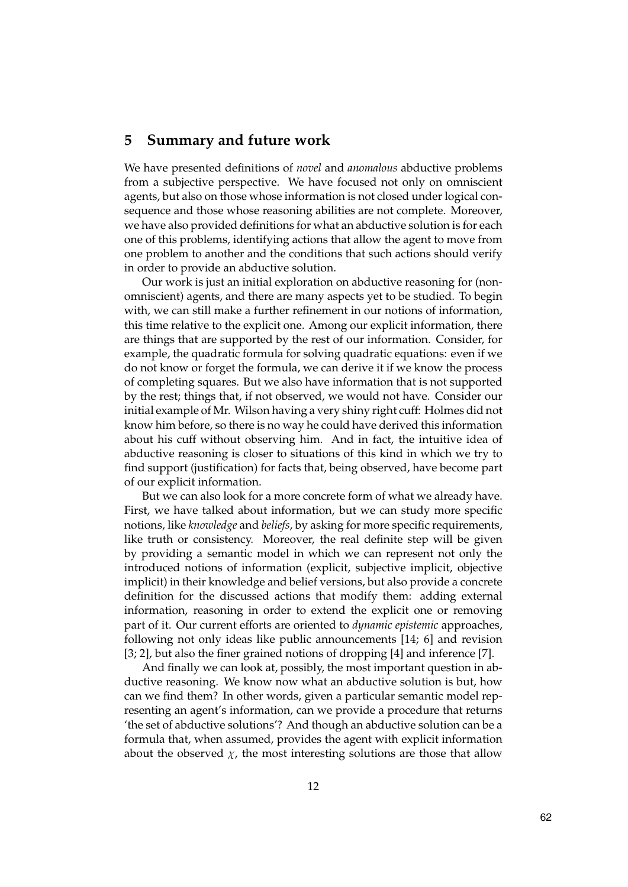## 5 Summary and future work

We have presented definitions of novel and anomalous abductive problems from a subjective perspective. We have focused not only on omniscient agents, but also on those whose information is not closed under logical consequence and those whose reasoning abilities are not complete. Moreover, we have also provided definitions for what an abductive solution is for each one of this problems, identifying actions that allow the agent to move from one problem to another and the conditions that such actions should verify in order to provide an abductive solution.

Our work is just an initial exploration on abductive reasoning for (nonomniscient) agents, and there are many aspects yet to be studied. To begin with, we can still make a further refinement in our notions of information, this time relative to the explicit one. Among our explicit information, there are things that are supported by the rest of our information. Consider, for example, the quadratic formula for solving quadratic equations: even if we do not know or forget the formula, we can derive it if we know the process of completing squares. But we also have information that is not supported by the rest; things that, if not observed, we would not have. Consider our initial example of Mr. Wilson having a very shiny right cuff: Holmes did not know him before, so there is no way he could have derived this information about his cuff without observing him. And in fact, the intuitive idea of abductive reasoning is closer to situations of this kind in which we try to find support (justification) for facts that, being observed, have become part of our explicit information.

But we can also look for a more concrete form of what we already have. First, we have talked about information, but we can study more specific notions, like knowledge and beliefs, by asking for more specific requirements, like truth or consistency. Moreover, the real definite step will be given by providing a semantic model in which we can represent not only the introduced notions of information (explicit, subjective implicit, objective implicit) in their knowledge and belief versions, but also provide a concrete definition for the discussed actions that modify them: adding external information, reasoning in order to extend the explicit one or removing part of it. Our current efforts are oriented to dynamic epistemic approaches, following not only ideas like public announcements [14; 6] and revision [3; 2], but also the finer grained notions of dropping [4] and inference [7].

And finally we can look at, possibly, the most important question in abductive reasoning. We know now what an abductive solution is but, how can we find them? In other words, given a particular semantic model representing an agent's information, can we provide a procedure that returns 'the set of abductive solutions'? And though an abductive solution can be a formula that, when assumed, provides the agent with explicit information about the observed  $\chi$ , the most interesting solutions are those that allow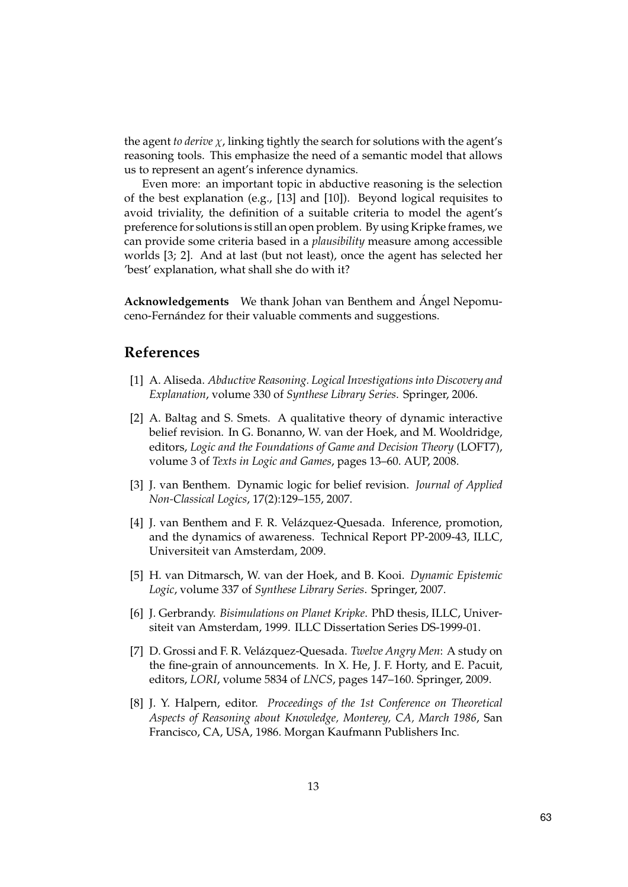the agent to derive  $\chi$ , linking tightly the search for solutions with the agent's reasoning tools. This emphasize the need of a semantic model that allows us to represent an agent's inference dynamics.

Even more: an important topic in abductive reasoning is the selection of the best explanation (e.g., [13] and [10]). Beyond logical requisites to avoid triviality, the definition of a suitable criteria to model the agent's preference for solutions is still an open problem. By using Kripke frames, we can provide some criteria based in a plausibility measure among accessible worlds [3; 2]. And at last (but not least), once the agent has selected her 'best' explanation, what shall she do with it?

Acknowledgements We thank Johan van Benthem and Ángel Nepomuceno-Fernández for their valuable comments and suggestions.

# References

- [1] A. Aliseda. Abductive Reasoning. Logical Investigations into Discovery and Explanation, volume 330 of Synthese Library Series. Springer, 2006.
- [2] A. Baltag and S. Smets. A qualitative theory of dynamic interactive belief revision. In G. Bonanno, W. van der Hoek, and M. Wooldridge, editors, Logic and the Foundations of Game and Decision Theory (LOFT7), volume 3 of Texts in Logic and Games, pages 13–60. AUP, 2008.
- [3] J. van Benthem. Dynamic logic for belief revision. Journal of Applied Non-Classical Logics, 17(2):129–155, 2007.
- [4] J. van Benthem and F. R. Velázquez-Quesada. Inference, promotion, and the dynamics of awareness. Technical Report PP-2009-43, ILLC, Universiteit van Amsterdam, 2009.
- [5] H. van Ditmarsch, W. van der Hoek, and B. Kooi. Dynamic Epistemic Logic, volume 337 of Synthese Library Series. Springer, 2007.
- [6] J. Gerbrandy. Bisimulations on Planet Kripke. PhD thesis, ILLC, Universiteit van Amsterdam, 1999. ILLC Dissertation Series DS-1999-01.
- [7] D. Grossi and F. R. Velázquez-Quesada. Twelve Angry Men: A study on the fine-grain of announcements. In X. He, J. F. Horty, and E. Pacuit, editors, LORI, volume 5834 of LNCS, pages 147–160. Springer, 2009.
- [8] J. Y. Halpern, editor. Proceedings of the 1st Conference on Theoretical Aspects of Reasoning about Knowledge, Monterey, CA, March 1986, San Francisco, CA, USA, 1986. Morgan Kaufmann Publishers Inc.